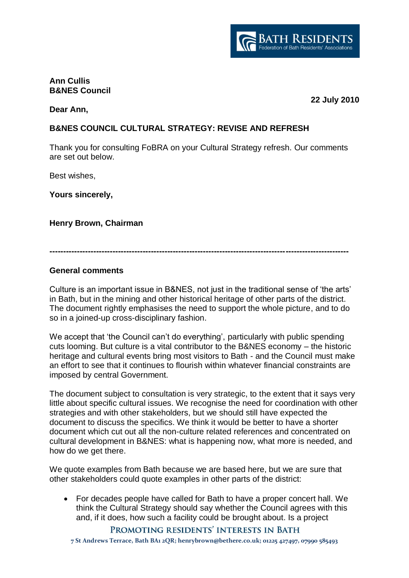

#### **Ann Cullis B&NES Council**

**Dear Ann,** 

**22 July 2010**

# **B&NES COUNCIL CULTURAL STRATEGY: REVISE AND REFRESH**

Thank you for consulting FoBRA on your Cultural Strategy refresh. Our comments are set out below.

Best wishes,

**Yours sincerely,** 

**Henry Brown, Chairman**

**-------------------------------------------------------------------------------------------------------------**

#### **General comments**

Culture is an important issue in B&NES, not just in the traditional sense of "the arts" in Bath, but in the mining and other historical heritage of other parts of the district. The document rightly emphasises the need to support the whole picture, and to do so in a joined-up cross-disciplinary fashion.

We accept that 'the Council can't do everything', particularly with public spending cuts looming. But culture is a vital contributor to the B&NES economy – the historic heritage and cultural events bring most visitors to Bath - and the Council must make an effort to see that it continues to flourish within whatever financial constraints are imposed by central Government.

The document subject to consultation is very strategic, to the extent that it says very little about specific cultural issues. We recognise the need for coordination with other strategies and with other stakeholders, but we should still have expected the document to discuss the specifics. We think it would be better to have a shorter document which cut out all the non-culture related references and concentrated on cultural development in B&NES: what is happening now, what more is needed, and how do we get there.

We quote examples from Bath because we are based here, but we are sure that other stakeholders could quote examples in other parts of the district:

 For decades people have called for Bath to have a proper concert hall. We think the Cultural Strategy should say whether the Council agrees with this and, if it does, how such a facility could be brought about. Is a project

PROMOTING RESIDENTS' INTERESTS IN BATH

**7 St Andrews Terrace, Bath BA1 2QR; henrybrown@bethere.co.uk; 01225 427497, 07990 585493**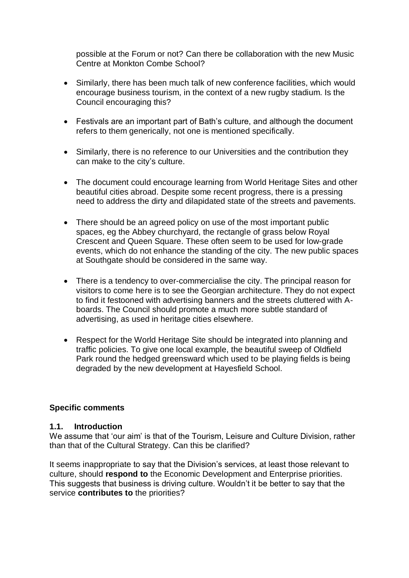possible at the Forum or not? Can there be collaboration with the new Music Centre at Monkton Combe School?

- Similarly, there has been much talk of new conference facilities, which would encourage business tourism, in the context of a new rugby stadium. Is the Council encouraging this?
- Festivals are an important part of Bath's culture, and although the document refers to them generically, not one is mentioned specifically.
- Similarly, there is no reference to our Universities and the contribution they can make to the city"s culture.
- The document could encourage learning from World Heritage Sites and other beautiful cities abroad. Despite some recent progress, there is a pressing need to address the dirty and dilapidated state of the streets and pavements.
- There should be an agreed policy on use of the most important public spaces, eg the Abbey churchyard, the rectangle of grass below Royal Crescent and Queen Square. These often seem to be used for low-grade events, which do not enhance the standing of the city. The new public spaces at Southgate should be considered in the same way.
- There is a tendency to over-commercialise the city. The principal reason for visitors to come here is to see the Georgian architecture. They do not expect to find it festooned with advertising banners and the streets cluttered with Aboards. The Council should promote a much more subtle standard of advertising, as used in heritage cities elsewhere.
- Respect for the World Heritage Site should be integrated into planning and traffic policies. To give one local example, the beautiful sweep of Oldfield Park round the hedged greensward which used to be playing fields is being degraded by the new development at Hayesfield School.

### **Specific comments**

#### **1.1. Introduction**

We assume that 'our aim' is that of the Tourism, Leisure and Culture Division, rather than that of the Cultural Strategy. Can this be clarified?

It seems inappropriate to say that the Division"s services, at least those relevant to culture, should **respond to** the Economic Development and Enterprise priorities. This suggests that business is driving culture. Wouldn"t it be better to say that the service **contributes to** the priorities?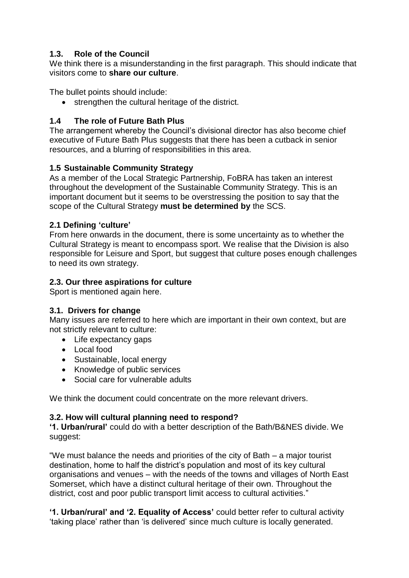# **1.3. Role of the Council**

We think there is a misunderstanding in the first paragraph. This should indicate that visitors come to **share our culture**.

The bullet points should include:

strengthen the cultural heritage of the district.

## **1.4 The role of Future Bath Plus**

The arrangement whereby the Council"s divisional director has also become chief executive of Future Bath Plus suggests that there has been a cutback in senior resources, and a blurring of responsibilities in this area.

## **1.5 Sustainable Community Strategy**

As a member of the Local Strategic Partnership, FoBRA has taken an interest throughout the development of the Sustainable Community Strategy. This is an important document but it seems to be overstressing the position to say that the scope of the Cultural Strategy **must be determined by** the SCS.

## **2.1 Defining 'culture'**

From here onwards in the document, there is some uncertainty as to whether the Cultural Strategy is meant to encompass sport. We realise that the Division is also responsible for Leisure and Sport, but suggest that culture poses enough challenges to need its own strategy.

## **2.3. Our three aspirations for culture**

Sport is mentioned again here.

# **3.1. Drivers for change**

Many issues are referred to here which are important in their own context, but are not strictly relevant to culture:

- Life expectancy gaps
- Local food
- Sustainable, local energy
- Knowledge of public services
- Social care for vulnerable adults

We think the document could concentrate on the more relevant drivers.

### **3.2. How will cultural planning need to respond?**

**'1. Urban/rural'** could do with a better description of the Bath/B&NES divide. We suggest:

"We must balance the needs and priorities of the city of Bath – a major tourist destination, home to half the district's population and most of its key cultural organisations and venues – with the needs of the towns and villages of North East Somerset, which have a distinct cultural heritage of their own. Throughout the district, cost and poor public transport limit access to cultural activities."

**'1. Urban/rural' and '2. Equality of Access'** could better refer to cultural activity "taking place" rather than "is delivered" since much culture is locally generated.